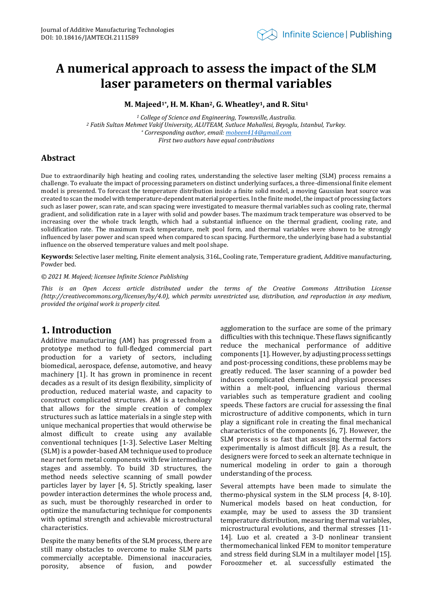## **A numerical approach to assess the impact of the SLM laser parameters on thermal variables**

**M. Majeed1\* , H. M. Khan2, G. Wheatley1, and R. Situ<sup>1</sup>**

*<sup>1</sup> College of Science and Engineering, Townsville, Australia. <sup>2</sup> Fatih Sultan Mehmet Vakif University, ALUTEAM, Sutluce Mahallesi, Beyoglu, Istanbul, Turkey. \* Corresponding author, email[: mobeen414@gmail.com](mailto:mobeen414@gmail.com) First two authors have equal contributions*

## **Abstract**

Due to extraordinarily high heating and cooling rates, understanding the selective laser melting (SLM) process remains a challenge. To evaluate the impact of processing parameters on distinct underlying surfaces, a three-dimensional finite element model is presented. To forecast the temperature distribution inside a finite solid model, a moving Gaussian heat source was created to scan the model with temperature-dependent material properties. In the finite model, the impact of processing factors such as laser power, scan rate, and scan spacing were investigated to measure thermal variables such as cooling rate, thermal gradient, and solidification rate in a layer with solid and powder bases. The maximum track temperature was observed to be increasing over the whole track length, which had a substantial influence on the thermal gradient, cooling rate, and solidification rate. The maximum track temperature, melt pool form, and thermal variables were shown to be strongly influenced by laser power and scan speed when compared to scan spacing. Furthermore, the underlying base had a substantial influence on the observed temperature values and melt pool shape.

**Keywords:** Selective laser melting, Finite element analysis, 316L, Cooling rate, Temperature gradient, Additive manufacturing, Powder bed.

#### *© 2021 M. Majeed; licensee Infinite Science Publishing*

*This is an Open Access article distributed under the terms of the Creative Commons Attribution License (http://creativecommons.org/licenses/by/4.0), which permits unrestricted use, distribution, and reproduction in any medium, provided the original work is properly cited.*

## **1. Introduction**

Additive manufacturing (AM) has progressed from a prototype method to full-fledged commercial part production for a variety of sectors, including biomedical, aerospace, defense, automotive, and heavy machinery [1]. It has grown in prominence in recent decades as a result of its design flexibility, simplicity of production, reduced material waste, and capacity to construct complicated structures. AM is a technology that allows for the simple creation of complex structures such as lattice materials in a single step with unique mechanical properties that would otherwise be almost difficult to create using any available conventional techniques [1-3]. Selective Laser Melting (SLM) is a powder-based AM technique used to produce near net form metal components with few intermediary stages and assembly. To build 3D structures, the method needs selective scanning of small powder particles layer by layer [4, 5]. Strictly speaking, laser powder interaction determines the whole process and, as such, must be thoroughly researched in order to optimize the manufacturing technique for components with optimal strength and achievable microstructural characteristics.

Despite the many benefits of the SLM process, there are still many obstacles to overcome to make SLM parts commercially acceptable. Dimensional inaccuracies, porosity, absence of fusion, and powder

agglomeration to the surface are some of the primary difficulties with this technique. These flaws significantly reduce the mechanical performance of additive components [1]. However, by adjusting process settings and post-processing conditions, these problems may be greatly reduced. The laser scanning of a powder bed induces complicated chemical and physical processes within a melt-pool, influencing various thermal variables such as temperature gradient and cooling speeds. These factors are crucial for assessing the final microstructure of additive components, which in turn play a significant role in creating the final mechanical characteristics of the components [6, 7]. However, the SLM process is so fast that assessing thermal factors experimentally is almost difficult [8]. As a result, the designers were forced to seek an alternate technique in numerical modeling in order to gain a thorough understanding of the process.

Several attempts have been made to simulate the thermo-physical system in the SLM process [4, 8-10]. Numerical models based on heat conduction, for example, may be used to assess the 3D transient temperature distribution, measuring thermal variables, microstructural evolutions, and thermal stresses [11- 14]. Luo et al. created a 3-D nonlinear transient thermomechanical linked FEM to monitor temperature and stress field during SLM in a multilayer model [15]. Foroozmeher et. al. successfully estimated the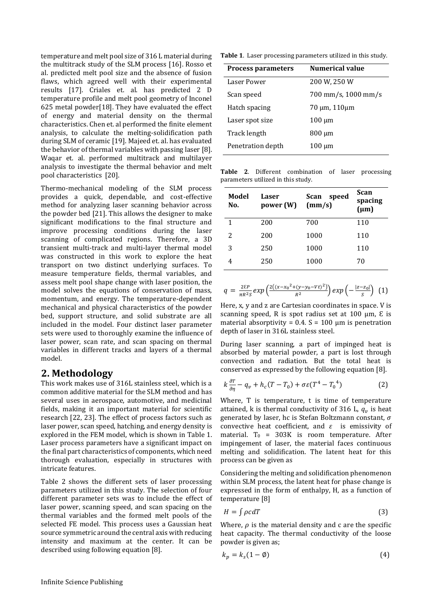temperature and melt pool size of 316 L material during the multitrack study of the SLM process [16]. Rosso et al. predicted melt pool size and the absence of fusion flaws, which agreed well with their experimental results [17]. Criales et. al. has predicted 2 D temperature profile and melt pool geometry of Inconel 625 metal powder[18]. They have evaluated the effect of energy and material density on the thermal characteristics. Chen et. al performed the finite element analysis, to calculate the melting-solidification path during SLM of ceramic [19]. Majeed et. al. has evaluated the behavior of thermal variables with passing laser [8]. Waqar et. al. performed multitrack and multilayer analysis to investigate the thermal behavior and melt pool characteristics [20].

Thermo-mechanical modeling of the SLM process provides a quick, dependable, and cost-effective method for analyzing laser scanning behavior across the powder bed [21]. This allows the designer to make significant modifications to the final structure and improve processing conditions during the laser scanning of complicated regions. Therefore, a 3D transient multi-track and multi-layer thermal model was constructed in this work to explore the heat transport on two distinct underlying surfaces. To measure temperature fields, thermal variables, and assess melt pool shape change with laser position, the model solves the equations of conservation of mass, momentum, and energy. The temperature-dependent mechanical and physical characteristics of the powder bed, support structure, and solid substrate are all included in the model. Four distinct laser parameter sets were used to thoroughly examine the influence of laser power, scan rate, and scan spacing on thermal variables in different tracks and layers of a thermal model.

## **2. Methodology**

This work makes use of 316L stainless steel, which is a common additive material for the SLM method and has several uses in aerospace, automotive, and medicinal fields, making it an important material for scientific research [22, 23]. The effect of process factors such as laser power, scan speed, hatching, and energy density is explored in the FEM model, which is shown in [Table 1.](#page-1-0) Laser process parameters have a significant impact on the final part characteristics of components, which need thorough evaluation, especially in structures with intricate features.

[Table 2](#page-1-1) shows the different sets of laser processing parameters utilized in this study. The selection of four different parameter sets was to include the effect of laser power, scanning speed, and scan spacing on the thermal variables and the formed melt pools of the selected FE model. This process uses a Gaussian heat source symmetric around the central axis with reducing intensity and maximum at the center. It can be described using following equation [8].

<span id="page-1-0"></span>**Table 1**. Laser processing parameters utilized in this study*.*

| <b>Process parameters</b> | Numerical value     |  |
|---------------------------|---------------------|--|
| Laser Power               | 200 W, 250 W        |  |
| Scan speed                | 700 mm/s, 1000 mm/s |  |
| Hatch spacing             | 70 µm, 110µm        |  |
| Laser spot size           | 100 µm              |  |
| Track length              | $800 \mu m$         |  |
| Penetration depth         | 100 µm              |  |

<span id="page-1-1"></span>**Table 2**. Different combination of laser processing parameters utilized in this study.

| Model<br>No. | Laser<br>power (W) | Scan<br>speed<br>(mm/s) | Scan<br>spacing<br>$(\mu m)$ |
|--------------|--------------------|-------------------------|------------------------------|
| 1            | 200                | 700                     | 110                          |
| 2            | 200                | 1000                    | 110                          |
| 3            | 250                | 1000                    | 110                          |
|              | 250                | 1000                    | 70                           |

$$
q = \frac{2\epsilon P}{\pi R^2 S} exp \left( \frac{2((x - x_0^2 + (y - y_0 - Vt)^2)}{R^2} \right) exp \left( -\frac{|z - z_0|}{S} \right) (1)
$$

Here, x, y and z are Cartesian coordinates in space. V is scanning speed, R is spot radius set at 100  $\mu$ m, E is material absorptivity =  $0.4$ . S = 100 µm is penetration depth of laser in 316L stainless steel.

During laser scanning, a part of impinged heat is absorbed by material powder, a part is lost through convection and radiation. But the total heat is conserved as expressed by the following equation [8].

$$
k\frac{\partial T}{\partial \eta} - q_v + h_c(T - T_0) + \sigma \varepsilon (T^4 - T_0^4) \tag{2}
$$

Where, T is temperature, t is time of temperature attained, k is thermal conductivity of 316 L,  $q_v$  is heat generated by laser, hc is Stefan Boltzmann constant,  $\sigma$ convective heat coefficient, and  $\varepsilon$  is emissivity of material. T<sub>0</sub> =  $303K$  is room temperature. After impingement of laser, the material faces continuous melting and solidification. The latent heat for this process can be given as

Considering the melting and solidification phenomenon within SLM process, the latent heat for phase change is expressed in the form of enthalpy, H, as a function of temperature [8]

$$
H = \int \rho c dT \tag{3}
$$

Where,  $\rho$  is the material density and c are the specific heat capacity. The thermal conductivity of the loose powder is given as;

$$
k_p = k_s(1 - \emptyset) \tag{4}
$$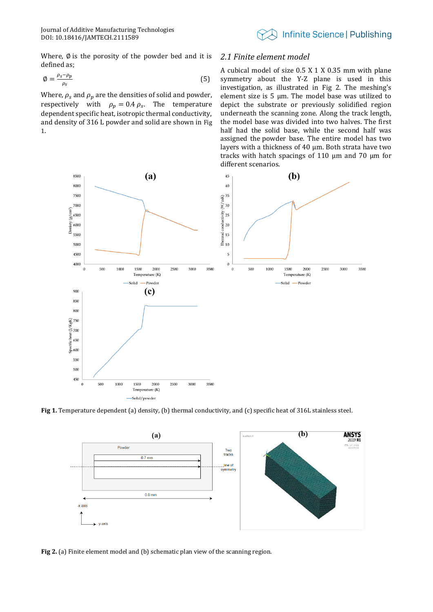

Where,  $\emptyset$  is the porosity of the powder bed and it is defined as;

$$
\emptyset = \frac{\rho_s - \rho_p}{\rho_s} \tag{5}
$$

Where,  $\rho_s$  and  $\rho_p$  are the densities of solid and powder, respectively with  $\rho_p = 0.4 \rho_s$ . The temperature dependent specific heat, isotropic thermal conductivity, and density of 316 L powder and solid are shown in [Fig](#page-2-0)  [1](#page-2-0).

#### *2.1 Finite element model*

A cubical model of size 0.5 X 1 X 0.35 mm with plane symmetry about the Y-Z plane is used in this investigation, as illustrated in [Fig 2.](#page-2-1) The meshing's element size is 5 μm. The model base was utilized to depict the substrate or previously solidified region underneath the scanning zone. Along the track length, the model base was divided into two halves. The first half had the solid base, while the second half was assigned the powder base. The entire model has two layers with a thickness of 40 μm. Both strata have two tracks with hatch spacings of 110 μm and 70 μm for different scenarios.



<span id="page-2-0"></span>**Fig 1.** Temperature dependent (a) density, (b) thermal conductivity, and (c) specific heat of 316L stainless steel.



<span id="page-2-1"></span>**Fig 2.** (a) Finite element model and (b) schematic plan view of the scanning region*.*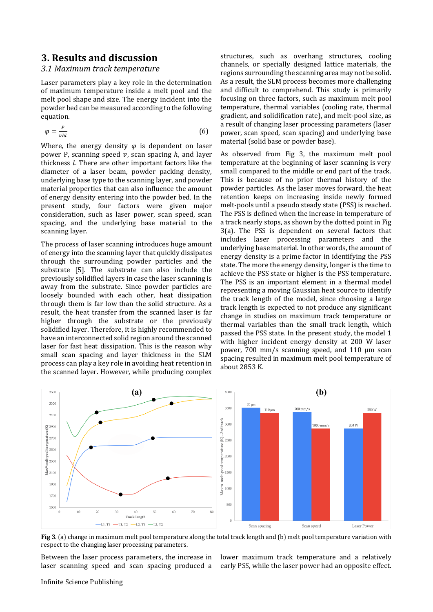## **3. Results and discussion**

#### *3.1 Maximum track temperature*

Laser parameters play a key role in the determination of maximum temperature inside a melt pool and the melt pool shape and size. The energy incident into the powder bed can be measured according to the following equation.

$$
\varphi = \frac{P}{vhl} \tag{6}
$$

Where, the energy density  $\varphi$  is dependent on laser power P, scanning speed  $v$ , scan spacing  $h$ , and layer thickness  $l$ . There are other important factors like the diameter of a laser beam, powder packing density, underlying base type to the scanning layer, and powder material properties that can also influence the amount of energy density entering into the powder bed. In the present study, four factors were given major consideration, such as laser power, scan speed, scan spacing, and the underlying base material to the scanning layer.

The process of laser scanning introduces huge amount of energy into the scanning layer that quickly dissipates through the surrounding powder particles and the substrate [5]. The substrate can also include the previously solidified layers in case the laser scanning is away from the substrate. Since powder particles are loosely bounded with each other, heat dissipation through them is far low than the solid structure. As a result, the heat transfer from the scanned laser is far higher through the substrate or the previously solidified layer. Therefore, it is highly recommended to have an interconnected solid region around the scanned laser for fast heat dissipation. This is the reason why small scan spacing and layer thickness in the SLM process can play a key role in avoiding heat retention in the scanned layer. However, while producing complex

structures, such as overhang structures, cooling channels, or specially designed lattice materials, the regions surrounding the scanning area may not be solid. As a result, the SLM process becomes more challenging and difficult to comprehend. This study is primarily focusing on three factors, such as maximum melt pool temperature, thermal variables (cooling rate, thermal gradient, and solidification rate), and melt-pool size, as a result of changing laser processing parameters (laser power, scan speed, scan spacing) and underlying base material (solid base or powder base).

As observed from [Fig 3,](#page-3-0) the maximum melt pool temperature at the beginning of laser scanning is very small compared to the middle or end part of the track. This is because of no prior thermal history of the powder particles. As the laser moves forward, the heat retention keeps on increasing inside newly formed melt-pools until a pseudo steady state (PSS) is reached. The PSS is defined when the increase in temperature of a track nearly stops, as shown by the dotted point i[n Fig](#page-3-0)  [3\(](#page-3-0)a). The PSS is dependent on several factors that includes laser processing parameters and the underlying base material. In other words, the amount of energy density is a prime factor in identifying the PSS state. The more the energy density, longer is the time to achieve the PSS state or higher is the PSS temperature. The PSS is an important element in a thermal model representing a moving Gaussian heat source to identify the track length of the model, since choosing a large track length is expected to not produce any significant change in studies on maximum track temperature or thermal variables than the small track length, which passed the PSS state. In the present study, the model 1 with higher incident energy density at 200 W laser power, 700 mm/s scanning speed, and 110 μm scan spacing resulted in maximum melt pool temperature of about 2853 K.



<span id="page-3-0"></span>**Fig 3**. (a) change in maximum melt pool temperature along the total track length and (b) melt pool temperature variation with respect to the changing laser processing parameters.

Between the laser process parameters, the increase in laser scanning speed and scan spacing produced a

lower maximum track temperature and a relatively early PSS, while the laser power had an opposite effect.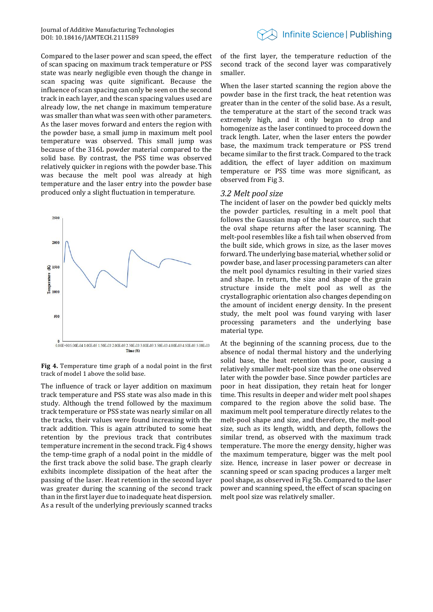Compared to the laser power and scan speed, the effect of scan spacing on maximum track temperature or PSS state was nearly negligible even though the change in scan spacing was quite significant. Because the influence of scan spacing can only be seen on the second track in each layer, and the scan spacing values used are already low, the net change in maximum temperature was smaller than what was seen with other parameters. As the laser moves forward and enters the region with the powder base, a small jump in maximum melt pool temperature was observed. This small jump was because of the 316L powder material compared to the solid base. By contrast, the PSS time was observed relatively quicker in regions with the powder base. This was because the melt pool was already at high temperature and the laser entry into the powder base produced only a slight fluctuation in temperature.



<span id="page-4-0"></span>**Fig 4.** Temperature time graph of a nodal point in the first track of model 1 above the solid base*.*

The influence of track or layer addition on maximum track temperature and PSS state was also made in this study. Although the trend followed by the maximum track temperature or PSS state was nearly similar on all the tracks, their values were found increasing with the track addition. This is again attributed to some heat retention by the previous track that contributes temperature increment in the second track[. Fig 4](#page-4-0) shows the temp-time graph of a nodal point in the middle of the first track above the solid base. The graph clearly exhibits incomplete dissipation of the heat after the passing of the laser. Heat retention in the second layer was greater during the scanning of the second track than in the first layer due to inadequate heat dispersion. As a result of the underlying previously scanned tracks

of the first layer, the temperature reduction of the second track of the second layer was comparatively smaller.

When the laser started scanning the region above the powder base in the first track, the heat retention was greater than in the center of the solid base. As a result, the temperature at the start of the second track was extremely high, and it only began to drop and homogenize as the laser continued to proceed down the track length. Later, when the laser enters the powder base, the maximum track temperature or PSS trend became similar to the first track. Compared to the track addition, the effect of layer addition on maximum temperature or PSS time was more significant, as observed from [Fig 3.](#page-3-0)

#### *3.2 Melt pool size*

The incident of laser on the powder bed quickly melts the powder particles, resulting in a melt pool that follows the Gaussian map of the heat source, such that the oval shape returns after the laser scanning. The melt-pool resembles like a fish tail when observed from the built side, which grows in size, as the laser moves forward. The underlying base material, whether solid or powder base, and laser processing parameters can alter the melt pool dynamics resulting in their varied sizes and shape. In return, the size and shape of the grain structure inside the melt pool as well as the crystallographic orientation also changes depending on the amount of incident energy density. In the present study, the melt pool was found varying with laser processing parameters and the underlying base material type.

At the beginning of the scanning process, due to the absence of nodal thermal history and the underlying solid base, the heat retention was poor, causing a relatively smaller melt-pool size than the one observed later with the powder base. Since powder particles are poor in heat dissipation, they retain heat for longer time. This results in deeper and wider melt pool shapes compared to the region above the solid base. The maximum melt pool temperature directly relates to the melt-pool shape and size, and therefore, the melt-pool size, such as its length, width, and depth, follows the similar trend, as observed with the maximum track temperature. The more the energy density, higher was the maximum temperature, bigger was the melt pool size. Hence, increase in laser power or decrease in scanning speed or scan spacing produces a larger melt pool shape, as observed i[n Fig 5b](#page-5-0). Compared to the laser power and scanning speed, the effect of scan spacing on melt pool size was relatively smaller.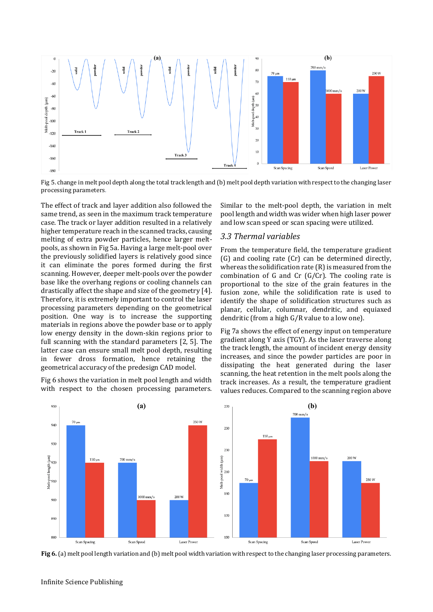

<span id="page-5-0"></span>Fig 5. change in melt pool depth along the total track length and (b) melt pool depth variation with respect to the changing laser processing parameters*.*

The effect of track and layer addition also followed the same trend, as seen in the maximum track temperature case. The track or layer addition resulted in a relatively higher temperature reach in the scanned tracks, causing melting of extra powder particles, hence larger meltpools, as shown i[n Fig 5a](#page-5-0). Having a large melt-pool over the previously solidified layers is relatively good since it can eliminate the pores formed during the first scanning. However, deeper melt-pools over the powder base like the overhang regions or cooling channels can drastically affect the shape and size of the geometry [4]. Therefore, it is extremely important to control the laser processing parameters depending on the geometrical position. One way is to increase the supporting materials in regions above the powder base or to apply low energy density in the down-skin regions prior to full scanning with the standard parameters [2, 5]. The latter case can ensure small melt pool depth, resulting in fewer dross formation, hence retaining the geometrical accuracy of the predesign CAD model.

[Fig 6](#page-5-1) shows the variation in melt pool length and width with respect to the chosen processing parameters.

Similar to the melt-pool depth, the variation in melt pool length and width was wider when high laser power and low scan speed or scan spacing were utilized.

#### *3.3 Thermal variables*

From the temperature field, the temperature gradient (G) and cooling rate (Cr) can be determined directly, whereas the solidification rate (R) is measured from the combination of G and Cr  $(G/Cr)$ . The cooling rate is proportional to the size of the grain features in the fusion zone, while the solidification rate is used to identify the shape of solidification structures such as planar, cellular, columnar, dendritic, and equiaxed dendritic (from a high G/R value to a low one).

[Fig 7a](#page-6-0) shows the effect of energy input on temperature gradient along Y axis (TGY). As the laser traverse along the track length, the amount of incident energy density increases, and since the powder particles are poor in dissipating the heat generated during the laser scanning, the heat retention in the melt pools along the track increases. As a result, the temperature gradient values reduces. Compared to the scanning region above



<span id="page-5-1"></span>**Fig 6.** (a) melt pool length variation and (b) melt pool width variation with respect to the changing laser processing parameters.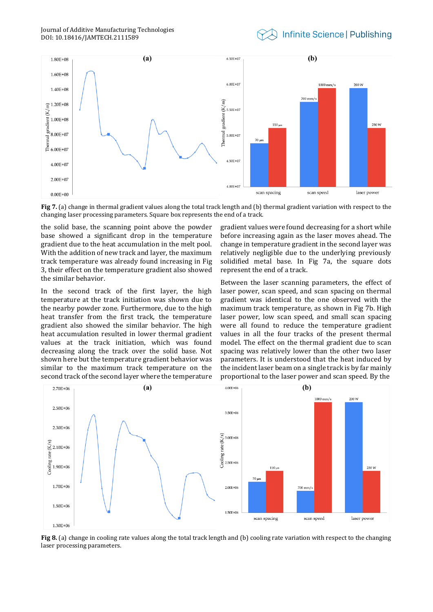

<span id="page-6-0"></span>**Fig 7.** (a) change in thermal gradient values along the total track length and (b) thermal gradient variation with respect to the changing laser processing parameters. Square box represents the end of a track.

the solid base, the scanning point above the powder base showed a significant drop in the temperature gradient due to the heat accumulation in the melt pool. With the addition of new track and layer, the maximum track temperature was already found increasing in [Fig](#page-3-0)  [3,](#page-3-0) their effect on the temperature gradient also showed the similar behavior.

In the second track of the first layer, the high temperature at the track initiation was shown due to the nearby powder zone. Furthermore, due to the high heat transfer from the first track, the temperature gradient also showed the similar behavior. The high heat accumulation resulted in lower thermal gradient values at the track initiation, which was found decreasing along the track over the solid base. Not shown here but the temperature gradient behavior was similar to the maximum track temperature on the second track of the second layer where the temperature

gradient values were found decreasing for a short while before increasing again as the laser moves ahead. The change in temperature gradient in the second layer was relatively negligible due to the underlying previously solidified metal base. In [Fig 7a](#page-6-0), the square dots represent the end of a track.

Between the laser scanning parameters, the effect of laser power, scan speed, and scan spacing on thermal gradient was identical to the one observed with the maximum track temperature, as shown in [Fig 7b](#page-6-0). High laser power, low scan speed, and small scan spacing were all found to reduce the temperature gradient values in all the four tracks of the present thermal model. The effect on the thermal gradient due to scan spacing was relatively lower than the other two laser parameters. It is understood that the heat induced by the incident laser beam on a single track is by far mainly proportional to the laser power and scan speed. By the



<span id="page-6-1"></span>**Fig 8.** (a) change in cooling rate values along the total track length and (b) cooling rate variation with respect to the changing laser processing parameters.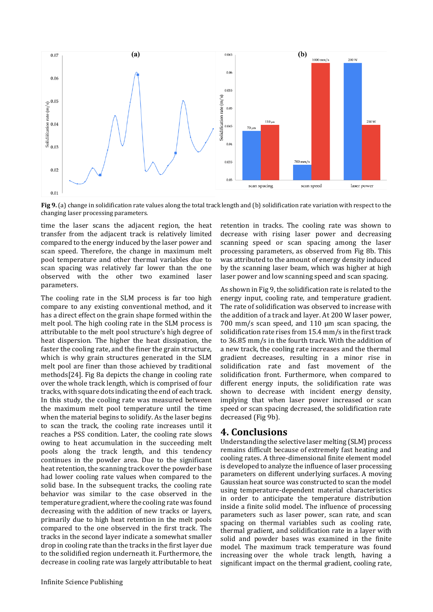

<span id="page-7-0"></span>**Fig 9.** (a) change in solidification rate values along the total track length and (b) solidification rate variation with respect to the changing laser processing parameters.

time the laser scans the adjacent region, the heat transfer from the adjacent track is relatively limited compared to the energy induced by the laser power and scan speed. Therefore, the change in maximum melt pool temperature and other thermal variables due to scan spacing was relatively far lower than the one observed with the other two examined laser parameters.

The cooling rate in the SLM process is far too high compare to any existing conventional method, and it has a direct effect on the grain shape formed within the melt pool. The high cooling rate in the SLM process is attributable to the melt pool structure's high degree of heat dispersion. The higher the heat dissipation, the faster the cooling rate, and the finer the grain structure, which is why grain structures generated in the SLM melt pool are finer than those achieved by traditional methods[24]. [Fig 8a](#page-6-1) depicts the change in cooling rate over the whole track length, which is comprised of four tracks, with square dots indicating the end of each track. In this study, the cooling rate was measured between the maximum melt pool temperature until the time when the material begins to solidify. As the laser begins to scan the track, the cooling rate increases until it reaches a PSS condition. Later, the cooling rate slows owing to heat accumulation in the succeeding melt pools along the track length, and this tendency continues in the powder area. Due to the significant heat retention, the scanning track over the powder base had lower cooling rate values when compared to the solid base. In the subsequent tracks, the cooling rate behavior was similar to the case observed in the temperature gradient, where the cooling rate was found decreasing with the addition of new tracks or layers, primarily due to high heat retention in the melt pools compared to the one observed in the first track. The tracks in the second layer indicate a somewhat smaller drop in cooling rate than the tracks in the first layer due to the solidified region underneath it. Furthermore, the decrease in cooling rate was largely attributable to heat

Infinite Science Publishing

retention in tracks. The cooling rate was shown to decrease with rising laser power and decreasing scanning speed or scan spacing among the laser processing parameters, as observed from [Fig 8b](#page-6-1). This was attributed to the amount of energy density induced by the scanning laser beam, which was higher at high laser power and low scanning speed and scan spacing.

As shown in [Fig 9,](#page-7-0) the solidification rate is related to the energy input, cooling rate, and temperature gradient. The rate of solidification was observed to increase with the addition of a track and layer. At 200 W laser power, 700 mm/s scan speed, and 110 μm scan spacing, the solidification rate rises from 15.4 mm/s in the first track to 36.85 mm/s in the fourth track. With the addition of a new track, the cooling rate increases and the thermal gradient decreases, resulting in a minor rise in solidification rate and fast movement of the solidification front. Furthermore, when compared to different energy inputs, the solidification rate was shown to decrease with incident energy density, implying that when laser power increased or scan speed or scan spacing decreased, the solidification rate decreased [\(Fig 9b](#page-7-0)).

### **4. Conclusions**

Understanding the selective laser melting (SLM) process remains difficult because of extremely fast heating and cooling rates. A three-dimensional finite element model is developed to analyze the influence of laser processing parameters on different underlying surfaces. A moving Gaussian heat source was constructed to scan the model using temperature-dependent material characteristics in order to anticipate the temperature distribution inside a finite solid model. The influence of processing parameters such as laser power, scan rate, and scan spacing on thermal variables such as cooling rate, thermal gradient, and solidification rate in a layer with solid and powder bases was examined in the finite model. The maximum track temperature was found increasing over the whole track length, having a significant impact on the thermal gradient, cooling rate,